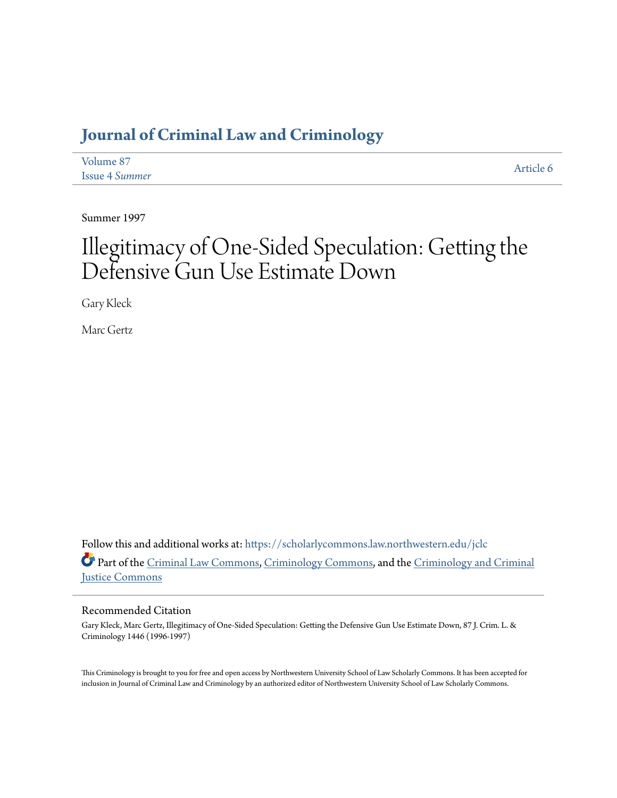## **[Journal of Criminal Law and Criminology](https://scholarlycommons.law.northwestern.edu/jclc?utm_source=scholarlycommons.law.northwestern.edu%2Fjclc%2Fvol87%2Fiss4%2F6&utm_medium=PDF&utm_campaign=PDFCoverPages)**

| Volume 87             | Article 6 |
|-----------------------|-----------|
| <b>Issue 4 Summer</b> |           |

Summer 1997

# Illegitimacy of One-Sided Speculation: Getting the Defensive Gun Use Estimate Down

Gary Kleck

Marc Gertz

Follow this and additional works at: [https://scholarlycommons.law.northwestern.edu/jclc](https://scholarlycommons.law.northwestern.edu/jclc?utm_source=scholarlycommons.law.northwestern.edu%2Fjclc%2Fvol87%2Fiss4%2F6&utm_medium=PDF&utm_campaign=PDFCoverPages) Part of the [Criminal Law Commons](http://network.bepress.com/hgg/discipline/912?utm_source=scholarlycommons.law.northwestern.edu%2Fjclc%2Fvol87%2Fiss4%2F6&utm_medium=PDF&utm_campaign=PDFCoverPages), [Criminology Commons](http://network.bepress.com/hgg/discipline/417?utm_source=scholarlycommons.law.northwestern.edu%2Fjclc%2Fvol87%2Fiss4%2F6&utm_medium=PDF&utm_campaign=PDFCoverPages), and the [Criminology and Criminal](http://network.bepress.com/hgg/discipline/367?utm_source=scholarlycommons.law.northwestern.edu%2Fjclc%2Fvol87%2Fiss4%2F6&utm_medium=PDF&utm_campaign=PDFCoverPages) [Justice Commons](http://network.bepress.com/hgg/discipline/367?utm_source=scholarlycommons.law.northwestern.edu%2Fjclc%2Fvol87%2Fiss4%2F6&utm_medium=PDF&utm_campaign=PDFCoverPages)

#### Recommended Citation

Gary Kleck, Marc Gertz, Illegitimacy of One-Sided Speculation: Getting the Defensive Gun Use Estimate Down, 87 J. Crim. L. & Criminology 1446 (1996-1997)

This Criminology is brought to you for free and open access by Northwestern University School of Law Scholarly Commons. It has been accepted for inclusion in Journal of Criminal Law and Criminology by an authorized editor of Northwestern University School of Law Scholarly Commons.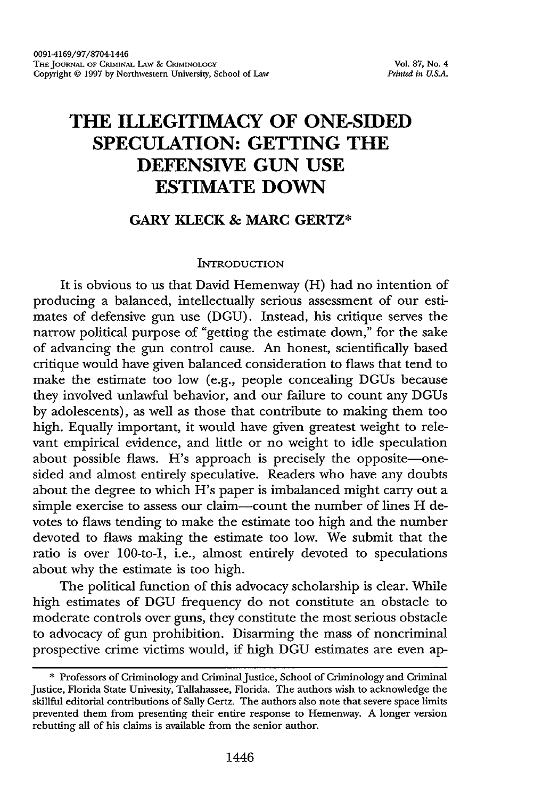### **THE ILLEGITIMACY OF ONE-SIDED SPECULATION: GETTING THE DEFENSIVE GUN USE ESTIMATE DOWN**

#### **GARY KLECK & MARC GERTZ\***

#### **INTRODUCTION**

It is obvious to us that David Hemenway (H) had no intention of producing a balanced, intellectually serious assessment of our estimates of defensive gun use (DGU). Instead, his critique serves the narrow political purpose of "getting the estimate down," for the sake of advancing the gun control cause. An honest, scientifically based critique would have given balanced consideration to flaws that tend to make the estimate too low (e.g., people concealing DGUs because they involved unlawful behavior, and our failure to count any DGUs by adolescents), as well as those that contribute to making them too high. Equally important, it would have given greatest weight to relevant empirical evidence, and little or no weight to idle speculation about possible flaws. H's approach is precisely the opposite-onesided and almost entirely speculative. Readers who have any doubts about the degree to which H's paper is imbalanced might carry out a simple exercise to assess our claim-count the number of lines H devotes to flaws tending to make the estimate too high and the number devoted to flaws making the estimate too low. We submit that the ratio is over 100-to-1, i.e., almost entirely devoted to speculations about why the estimate is too high.

The political function of this advocacy scholarship is clear. While high estimates of DGU frequency do not constitute an obstacle to moderate controls over guns, they constitute the most serious obstacle to advocacy of gun prohibition. Disarming the mass of noncriminal prospective crime victims would, if high DGU estimates are even ap-

**<sup>\*</sup>** Professors of Criminology and Criminal Justice, School of Criminology and Criminal Justice, Florida State Univesity, Tallahassee, Florida. The authors wish to acknowledge the skillful editorial contributions of Sally Gertz. The authors also note that severe space limits prevented them from presenting their entire response to Hemenway. A longer version rebutting all of his claims is available from the senior author.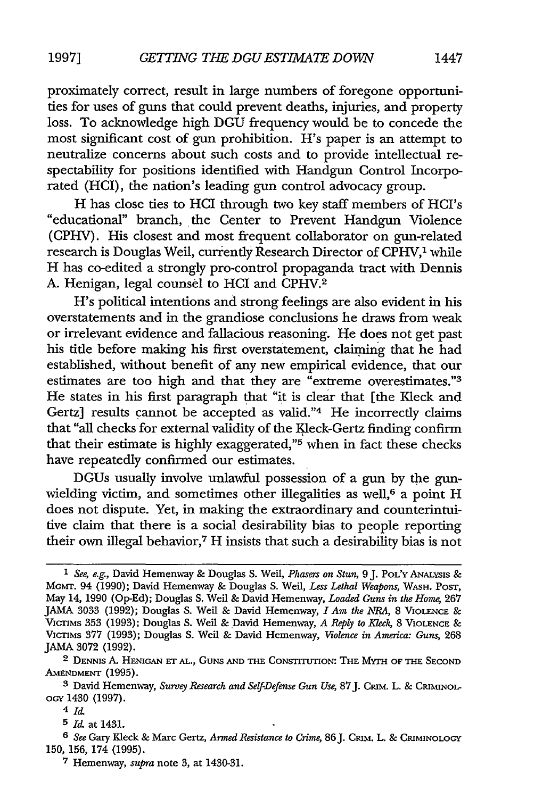proximately correct, result in large numbers of foregone opportunities for uses of guns that could prevent deaths, injuries, and property loss. To acknowledge high DGU frequency would be to concede the most significant cost of gun prohibition. H's paper is an attempt to neutralize concerns about such costs and to provide intellectual respectability for positions identified with Handgun Control Incorporated (HCl), the nation's leading gun control advocacy group.

H has close ties to HCI through two key staff members of HCI's "educational" branch, the Center to Prevent Handgun Violence (CPHV). His closest and most frequent collaborator on gun-related research is Douglas Weil, currently Research Director of CPHV,<sup>1</sup> while H has co-edited a strongly pro-control propaganda tract with Dennis A. Henigan, legal counsel to HCI and CPHV.2

H's political intentions and strong feelings are also evident in his overstatements and in the grandiose conclusions he draws from weak or irrelevant evidence and fallacious reasoning. He does not get past his title before making his first overstatement, claiming that he had established, without benefit of any new empirical evidence, that our estimates are too high and that they are "extreme overestimates."<sup>3</sup> He states in his first paragraph that "it is dear that [the Kleck and Gertz] results cannot be accepted as valid."4 He incorrectly claims that "all checks for external validity of the Kleck-Gertz finding confirm that their estimate is highly exaggerated,"5 when in fact these checks have repeatedly confirmed our estimates.

DGUs usually involve unlawful possession of a gun by the gunwielding victim, and sometimes other illegalities as well,<sup>6</sup> a point H does not dispute. Yet, in making the extraordinary and counterintuitive claim that there is a social desirability bias to people reporting their own illegal behavior,7 H insists that such a desirability bias is not

**6** *See* Gary Kleck & Marc Gertz, *Armed Resistance to Crime,* 86J. Crai. L. & CRIMINOLOGY 150, 156, 174 (1995).

<sup>1</sup> *See, e.g.,* David Hemenway & Douglas S. Wel, *Phasers on Stun,* 9 J. POL'Y ANALYSIS **&** MGMT. 94 (1990); David Hemenway & Douglas S. Weil, *Less Lethal Weapons,* WASH. POST, May 14, 1990 (Op-Ed); Douglas *S,* Wel & David Hemenway, *Loaded Guns in the Home* 267 JAMA 3033 (1992); Douglas S. Weil & David Hemenway, *I Am the NRA,* 8 **VIOLENCE** & Viam's 353 (1993); Douglas S. Wel & David Hemenway, *A Reply to K/eck* 8 VIOLENCE & VICms 377 (1993); Douglas S. Weil & David Hemenway, *Violence in America: Guns,* 268 JAMA 3072 (1992).

<sup>2</sup> DENNIS A. HENIGAN **ET AL.,** GUNS **AND** THE CoNSTITUTON: THE MYrH OF THE **SECOND** AMENDMENT (1995).

**<sup>3</sup>** David Hemenway, *Survey Research and Self-Defense Gun Use,* 87J. CRIM. L. & CRIMINOI-Ocy 1430 (1997).

*<sup>4</sup>Id.*

**<sup>5</sup>** *Id.* at 1431.

**<sup>7</sup>** Hemenway, *supra* note 3, at 1430-31.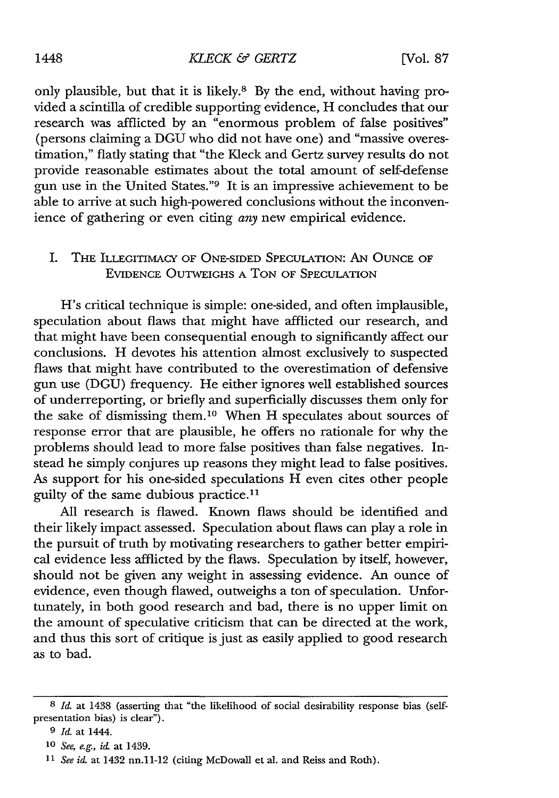only plausible, but that it is likely.8 By the end, without having provided a scintilla of credible supporting evidence, H concludes that our research was afflicted by an "enormous problem of false positives" (persons claiming a DGU who did not have one) and "massive overestimation," flatly stating that "the Kleck and Gertz survey results do not provide reasonable estimates about the total amount of self-defense gun use in the United States."<sup>9</sup> It is an impressive achievement to be able to arrive at such high-powered conclusions without the inconvenience of gathering or even citing *any* new empirical evidence.

#### I. THE ILLEGITIMACY OF **ONE-SIDED SPECULATION:** AN **OUNCE** OF EVIDENCE **OUTWEIGHS A TON** OF **SPECULATION**

H's critical technique is simple: one-sided, and often implausible, speculation about flaws that might have afflicted our research, and that might have been consequential enough to significantly affect our conclusions. H devotes his attention almost exclusively to suspected flaws that might have contributed to the overestimation of defensive gun use (DGU) frequency. He either ignores well established sources of underreporting, or briefly and superficially discusses them only for the sake of dismissing them.10 When H speculates about sources of response error that are plausible, he offers no rationale for why the problems should lead to more false positives than false negatives. Instead he simply conjures up reasons they might lead to false positives. As support for his one-sided speculations H even cites other people guilty of the same dubious practice.<sup>11</sup>

All research is flawed. Known flaws should be identified and their likely impact assessed. Speculation about flaws can play a role in the pursuit of truth by motivating researchers to gather better empirical evidence less afflicted by the flaws. Speculation by itself, however, should not be given any weight in assessing evidence. An ounce of evidence, even though flawed, outweighs a ton of speculation. Unfortunately, in both good research and bad, there is no upper limit on the amount of speculative criticism that can be directed at the work, and thus this sort of critique is just as easily applied to good research as to bad.

<sup>8</sup> *Id.* at 1438 (asserting that "the likelihood of social desirability response bias (selfpresentation bias) is clear").

**<sup>9</sup>** *Id.* at 1444.

*<sup>1</sup>o See, e.g., id.* at 1439.

**<sup>11</sup>***See* id. at 1432 nn.11-12 (citing McDowall et al. and Reiss and Roth).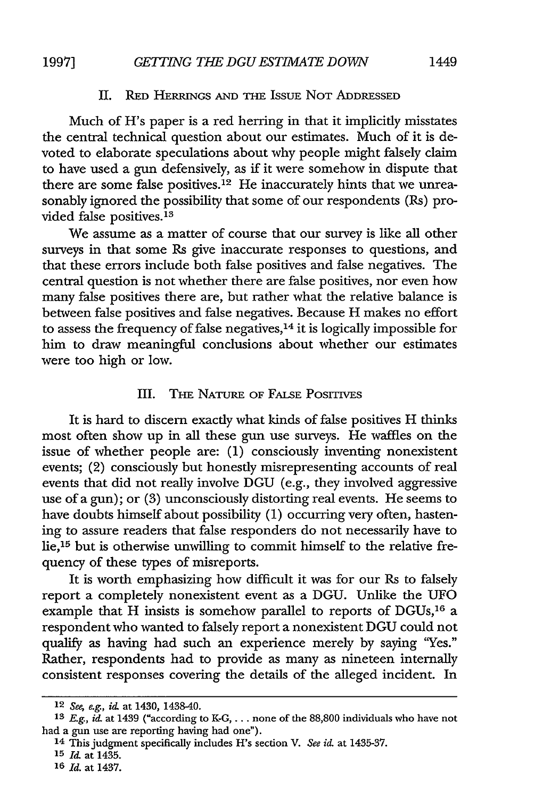#### II. RED HERRINGS AND THE IssuE NOT ADDRESSED

Much of H's paper is a red herring in that it implicitly misstates the central technical question about our estimates. Much of it is devoted to elaborate speculations about why people might falsely claim to have used a gun defensively, as if it were somehow in dispute that there are some false positives.<sup>12</sup> He inaccurately hints that we unreasonably ignored the possibility that some of our respondents (Rs) provided false positives.<sup>13</sup>

We assume as a matter of course that our survey is like all other surveys in that some Rs give inaccurate responses to questions, and that these errors include both false positives and false negatives. The central question is not whether there are false positives, nor even how many false positives there are, but rather what the relative balance is between false positives and false negatives. Because H makes no effort to assess the frequency of false negatives, 14 it is logically impossible for him to draw meaningful conclusions about whether our estimates were too high or low.

#### III. THE NATURE OF FALSE POSITIVES

It is hard to discern exactly what kinds of false positives H thinks most often show up in all these gun use surveys. He waffles on the issue of whether people are: (1) consciously inventing nonexistent events; (2) consciously but honestly misrepresenting accounts of real events that did not really involve DGU (e.g., they involved aggressive use of a gun); or (3) unconsciously distorting real events. He seems to have doubts himself about possibility (1) occurring very often, hastening to assure readers that false responders do not necessarily have to lie,15 but is otherwise unwilling to commit himself to the relative frequency of these types of misreports.

It is worth emphasizing how difficult it was for our Rs to falsely report a completely nonexistent event as a DGU. Unlike the **UFO** example that H insists is somehow parallel to reports of DGUs,16 a respondent who wanted to falsely report a nonexistent DGU could not qualify as having had such an experience merely by saying 'Yes." Rather, respondents had to provide as many as nineteen internally consistent responses covering the details of the alleged incident. In

<sup>12</sup> *See, e.g., id* at 1430, 1438-40.

<sup>&</sup>lt;sup>13</sup> E.g., id. at 1439 ("according to K-G, ... none of the 88,800 individuals who have not had a gun use are reporting having had one").

<sup>14</sup> This judgment specifically includes H's section V. *See id* at 1435-37.

*<sup>15</sup>* Id- at 1435.

**<sup>16</sup>** *Id.* at 1437.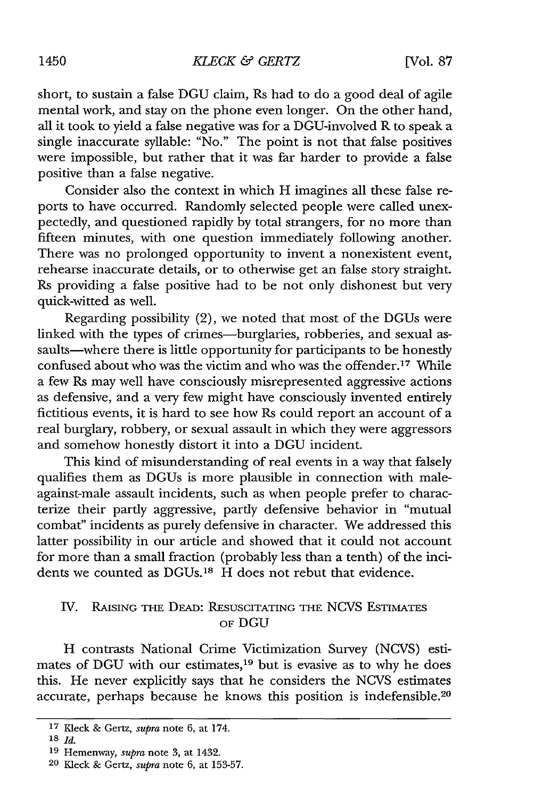short, to sustain a false DGU claim, Rs had to do a good deal of agile mental work, and stay on the phone even longer. On the other hand, all it took to yield a false negative was for a DGU-involved R to speak a single inaccurate syllable: "No." The point is not that false positives were impossible, but rather that it was far harder to provide a false positive than a false negative.

Consider also the context in which H imagines all these false reports to have occurred. Randomly selected people were called unexpectedly, and questioned rapidly by total strangers, for no more than fifteen minutes, with one question immediately following another. There was no prolonged opportunity to invent a nonexistent event, rehearse inaccurate details, or to otherwise get an false story straight. Rs providing a false positive had to be not only dishonest but very quick-witted as well.

Regarding possibility (2), we noted that most of the DGUs were linked with the types of crimes-burglaries, robberies, and sexual assaults-where there is little opportunity for participants to be honestly confused about who was the victim and who was the offender.<sup>17</sup> While a few Rs may well have consciously misrepresented aggressive actions as defensive, and a very few might have consciously invented entirely fictitious events, it is hard to see how Rs could report an account of a real burglary, robbery, or sexual assault in which they were aggressors and somehow honestly distort it into a DGU incident.

This kind of misunderstanding of real events in a way that falsely qualifies them as DGUs is more plausible in connection with maleagainst-male assault incidents, such as when people prefer to characterize their partly aggressive, partly defensive behavior in "mutual combat" incidents as purely defensive in character. We addressed this latter possibility in our article and showed that it could not account for more than a small fraction (probably less than a tenth) of the incidents we counted as DGUs.<sup>18</sup>  $\hat{H}$  does not rebut that evidence.

#### IV. RAISING THE **DEAD:** RESUSCITATING THE NCVS **ESTIMATES** OF DGU

H contrasts National Crime Victimization Survey (NCVS) estimates of DGU with our estimates,<sup>19</sup> but is evasive as to why he does this. He never explicitly says that he considers the NCVS estimates accurate, perhaps because he knows this position is indefensible.20

**<sup>17</sup>** Kleck **&** Gertz, *supra* note **6,** at 174.

**<sup>18</sup>** *Id.*

**<sup>19</sup>** Hemenway, *supra* note **3,** at 1432.

<sup>20</sup> Kleck **&** Gertz, *supra* note **6,** at **153-57.**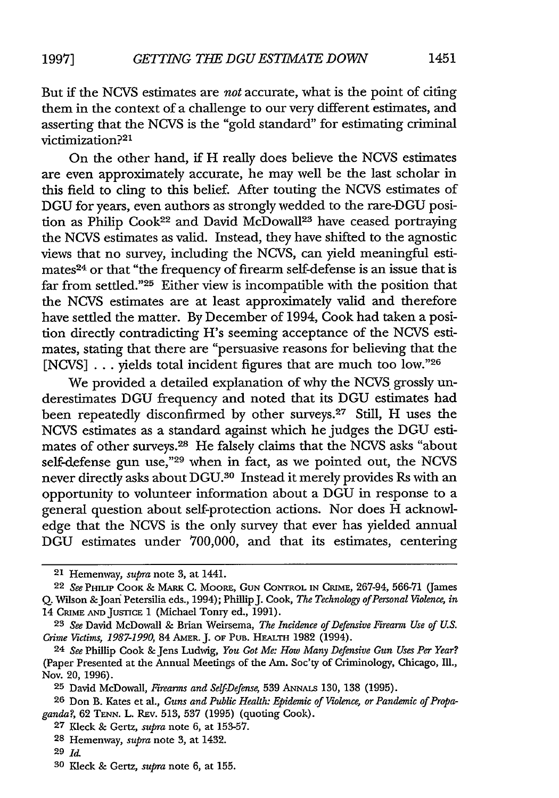But if the NCVS estimates are *not* accurate, what is the point of citing them in the context of a challenge to our very different estimates, and asserting that the NCVS is the "gold standard" for estimating criminal victimization?2'

On the other hand, if H really does believe the NCVS estimates are even approximately accurate, he may well be the last scholar in this field to cling to this belief. After touting the NCVS estimates of DGU for years, even authors as strongly wedded to the rare-DGU position as Philip Cook<sup>22</sup> and David McDowall<sup>23</sup> have ceased portraying the NCVS estimates as valid. Instead, they have shifted to the agnostic views that no survey, including the NCVS, can yield meaningful estimates<sup>24</sup> or that "the frequency of firearm self-defense is an issue that is far from settled."<sup>25</sup> Either view is incompatible with the position that the NCVS estimates are at least approximately valid and therefore have settled the matter. By December of 1994, Cook had taken a position directly contradicting H's seeming acceptance of the NCVS estimates, stating that there are "persuasive reasons for believing that the [NCVS]  $\dots$  yields total incident figures that are much too low."26

We provided a detailed explanation of why the NCVS grossly underestimates DGU frequency and noted that its DGU estimates had been repeatedly disconfirmed by other surveys.27 Still, H uses the NCVS estimates as a standard against which he judges the DGU estimates of other surveys.28 He falsely claims that the NCVS asks "about self-defense gun use,"29 when in fact, as we pointed out, the NCVS never directly asks about **DGU.30** Instead it merely provides Rs with an opportunity to volunteer information about a DGU in response to a general question about self-protection actions. Nor does H acknowledge that the NCVS is the only survey that ever has yielded annual DGU estimates under 700,000, and that its estimates, centering

<sup>21</sup> Hemenway, *supra* note 3, at 1441.

<sup>22</sup> *See* **PHILIP** COOK **&** MARK **C.** MOORE, **GUN** CONTROL **IN** CRIME, 267-94, 566-71 (James Q. Wilson &Joan Petersilia eds., 1994); Phillipj. Cook, *The Technology of Personal Violence, in* 14 CRIME **AND JUSTICE** 1 (Michael Tonry ed., 1991).

*<sup>23</sup> See* David McDowall & Brian Weirsema, *The Incidence of Defensive Firearm Use of U.S. Crime Victims, 1987-1990,* 84 AMER. J. OF **PUB.** HEALTH 1982 (1994).

<sup>24</sup> *See* Phillip Cook & Jens Ludwig, *You Got Me: How Many Defensive Gun Uses Per Year?* (Paper Presented at the Annual Meetings of the Am. Soc'ty of Criminology, Chicago, Ill., Nov. 20, 1996).

**<sup>25</sup>** David McDowall, *Firearms and Self-Defense,* 539 **ANNALS** 130, 138 (1995).

**<sup>26</sup>** Don B. Kates et al., *Guns and Public Health: Epidemic of Violence, or Pandemic of Propaganda? ,* 62 **TENN.** L. **REv.** 513, 537 (1995) (quoting Cook).

**<sup>27</sup>** Kleck & Gertz, *supra* note 6, at 153-57.

**<sup>28</sup>** Hemenway, *supra* note 3, at 1432.

**<sup>29</sup> 1d.**

**<sup>30</sup>** Kleck & Gertz, *supra* note 6, at 155.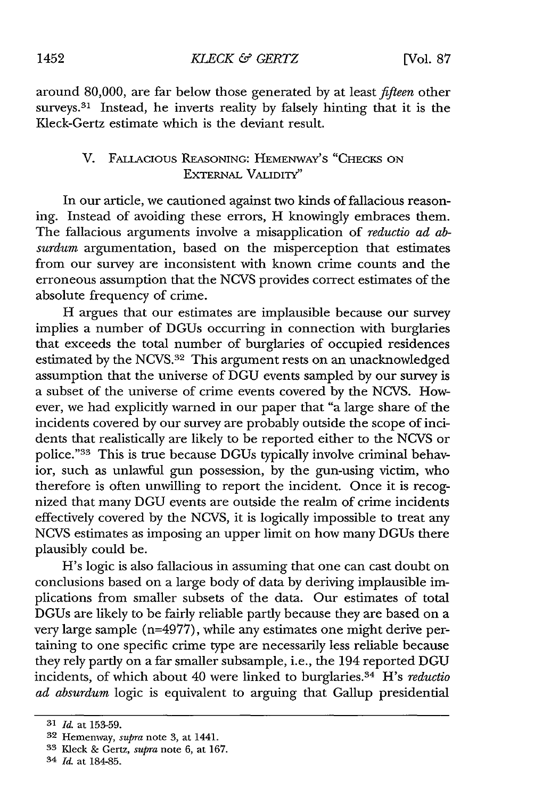around 80,000, are far below those generated by at least fifteen other surveys.<sup>31</sup> Instead, he inverts reality by falsely hinting that it is the Kleck-Gertz estimate which is the deviant result.

#### V. FALlAcIous REASONING: HEMENWAY'S **"CHECKS ON EXTERNAL VALIDITY"**

In our article, we cautioned against two kinds of fallacious reasoning. Instead of avoiding these errors, H knowingly embraces them. The fallacious arguments involve a misapplication of *reductio ad absurdum* argumentation, based on the misperception that estimates from our survey are inconsistent with known crime counts and the erroneous assumption that the NCVS provides correct estimates of the absolute frequency of crime.

H argues that our estimates are implausible because our survey implies a number of DGUs occurring in connection with burglaries that exceeds the total number of burglaries of occupied residences estimated by the NCVS.<sup>32</sup> This argument rests on an unacknowledged assumption that the universe of DGU events sampled by our survey is a subset of the universe of crime events covered by the NCVS. However, we had explicitly warned in our paper that "a large share of the incidents covered by our survey are probably outside the scope of incidents that realistically are likely to be reported either to the NCVS or police. '33 This is true because DGUs typically involve criminal behavior, such as unlawful gun possession, by the gun-using victim, who therefore is often unwilling to report the incident. Once it is recognized that many DGU events are outside the realm of crime incidents effectively covered by the NCVS, it is logically impossible to treat any NCVS estimates as imposing an upper limit on how many DGUs there plausibly could be.

H's logic is also fallacious in assuming that one can cast doubt on conclusions based on a large body of data by deriving implausible implications from smaller subsets of the data. Our estimates of total DGUs are likely to be fairly reliable partly because they are based on a very large sample (n=4977), while any estimates one might derive pertaining to one specific crime type are necessarily less reliable because they rely partly on a far smaller subsample, i.e., the 194 reported DGU incidents, of which about 40 were linked to burglaries.<sup>34</sup> H's *reductio ad absurdum* logic is equivalent to arguing that Gallup presidential

**<sup>31</sup> di.** at **153-59.**

**<sup>32</sup>** Hernenway, *supra* note **3,** at 1441.

**<sup>33</sup>** Kleck **&** Gertz, *supra* note **6,** at **167.**

<sup>34</sup> **Id.** at **184-85.**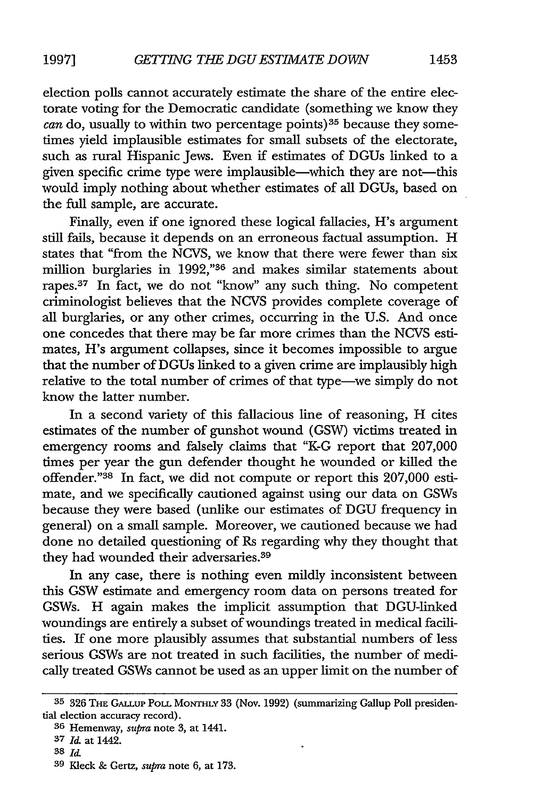election polls cannot accurately estimate the share of the entire electorate voting for the Democratic candidate (something we know they can do, usually to within two percentage points)<sup>35</sup> because they sometimes yield implausible estimates for small subsets of the electorate, such as rural Hispanic Jews. Even if estimates of DGUs linked to a given specific crime type were implausible-which they are not-this would imply nothing about whether estimates of all DGUs, based on the full sample, are accurate.

Finally, even if one ignored these logical fallacies, H's argument still fails, because it depends on an erroneous factual assumption. H states that "from the NCVS, we know that there were fewer than six million burglaries in 1992,"<sup>36</sup> and makes similar statements about rapes.37 In fact, we do not "know" any such thing. No competent criminologist believes that the NCVS provides complete coverage of all burglaries, or any other crimes, occurring in the U.S. And once one concedes that there may be far more crimes than the NCVS estimates, H's argument collapses, since it becomes impossible to argue that the number of DGUs linked to a given crime are implausibly high relative to the total number of crimes of that type-we simply do not know the latter number.

In a second variety of this fallacious line of reasoning, H cites estimates of the number of gunshot wound (GSW) victims treated in emergency rooms and falsely claims that "K-G report that 207,000 times per year the gun defender thought he wounded or killed the offender."<sup>38</sup> In fact, we did not compute or report this 207,000 estimate, and we specifically cautioned against using our data on GSWs because they were based (unlike our estimates of DGU frequency in general) on a small sample. Moreover, we cautioned because we had done no detailed questioning of Rs regarding why they thought that they had wounded their adversaries.<sup>39</sup>

In any case, there is nothing even mildly inconsistent between this GSW estimate and emergency room data on persons treated for GSWs. H again makes the implicit assumption that DGU-linked woundings are entirely a subset of woundings treated in medical facilities. If one more plausibly assumes that substantial numbers of less serious GSWs are not treated in such facilities, the number of medically treated GSWs cannot be used as an upper limit on the number of

**<sup>35</sup>** 326 **THE** GALLuP PoLL **MONTHLY** 33 (Nov. 1992) (summarizing Gallup Poll presidential election accuracy record).

**<sup>36</sup>** Hemenway, *supra* note 3, at 1441.

**<sup>37</sup>** *Id.* at 1442.

**<sup>38</sup>** *Id.*

**<sup>39</sup>** Kleck & Gertz, *supra* note 6, at 173.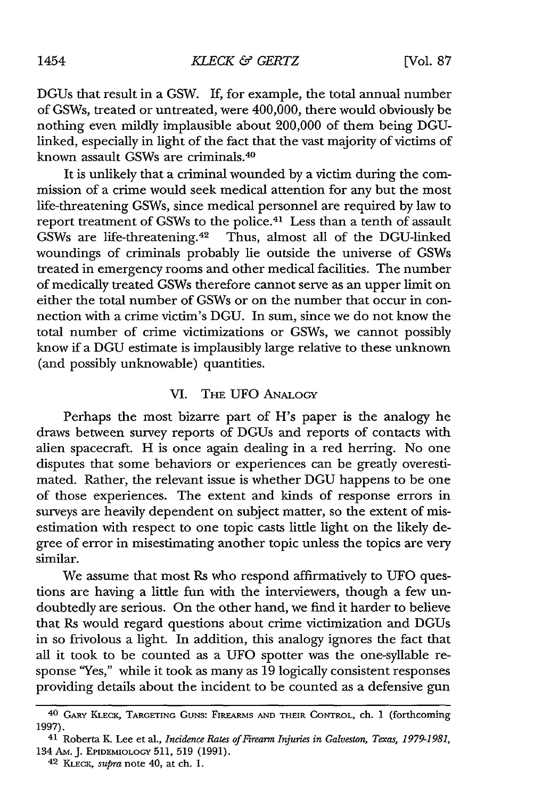DGUs that result in a GSW. If, for example, the total annual number of GSWs, treated or untreated, were 400,000, there would obviously be nothing even mildly implausible about 200,000 of them being DGUlinked, especially in light of the fact that the vast majority of victims of known assault GSWs are criminals. <sup>40</sup>

It is unlikely that a criminal wounded by a victim during the commission of a crime would seek medical attention for any but the most life-threatening GSWs, since medical personnel are required by law to report treatment of GSWs to the police. 41 Less than a tenth of assault GSWs are life-threatening. 42 Thus, almost all of the DGU-linked woundings of criminals probably lie outside the universe of GSWs treated in emergency rooms and other medical facilities. The number of medically treated GSWs therefore cannot serve as an upper limit on either the total number of GSWs or on the number that occur in connection with a crime victim's DGU. In sum, since we do not know the total number of crime victimizations or GSWs, we cannot possibly know if a DGU estimate is implausibly large relative to these unknown (and possibly unknowable) quantities.

#### VI. THE UFO ANALOGY

Perhaps the most bizarre part of H's paper is the analogy he draws between survey reports of DGUs and reports of contacts with alien spacecraft. H is once again dealing in a red herring. No one disputes that some behaviors or experiences can be greatly overestimated. Rather, the relevant issue is whether DGU happens to be one of those experiences. The extent and kinds of response errors in surveys are heavily dependent on subject matter, so the extent of misestimation with respect to one topic casts little light on the likely degree of error in misestimating another topic unless the topics are very similar.

We assume that most Rs who respond affirmatively to UFO questions are having a little fun with the interviewers, though a few undoubtedly are serious. On the other hand, we find it harder to believe that Rs would regard questions about crime victimization and DGUs in so frivolous a light. In addition, this analogy ignores the fact that all it took to be counted as a UFO spotter was the one-syllable response 'Yes," while it took as many as 19 logically consistent responses providing details about the incident to be counted as a defensive gun

<sup>40</sup> GARY KLECK, TARGETING **GUNS:** FIREARms **AND** THEIR CONTROL, ch. 1 (forthcoming 1997).

<sup>41</sup> Roberta K. Lee et al., *Incidence Rates of Firearm Injuries in Galveston, Texas, 1979-1981,* 134 AM. J. EPIDEMIOLOGY 511, 519 (1991).

<sup>42</sup> KLECK, *supra* note 40, at ch. 1.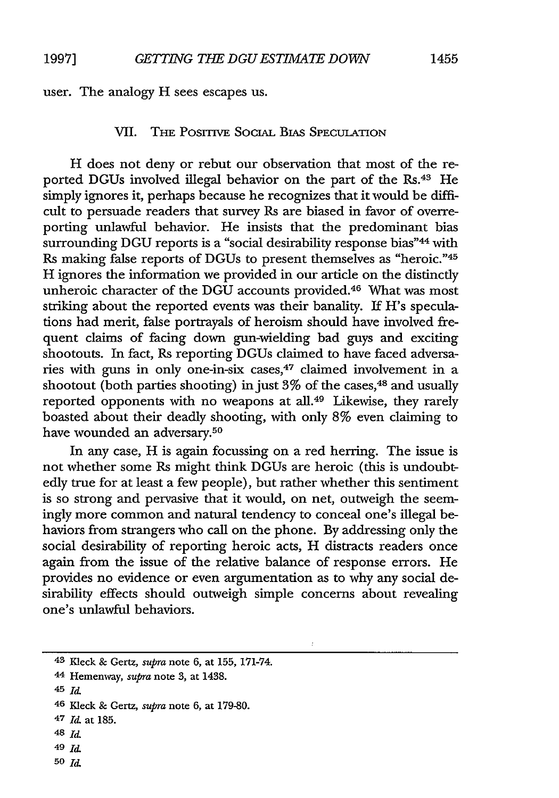user. The analogy H sees escapes us.

#### VII. THE POSITIVE SOCIAL BIAS SPECULATION

H does not deny or rebut our observation that most of the reported DGUs involved illegal behavior on the part of the Rs.43 He simply ignores it, perhaps because he recognizes that it would be difficult to persuade readers that survey Rs are biased in favor of overreporting unlawful behavior. He insists that the predominant bias surrounding DGU reports is a "social desirability response bias"<sup>44</sup> with Rs making false reports of DGUs to present themselves as "heroic. '45 H ignores the information we provided in our article on the distinctly unheroic character of the DGU accounts provided.<sup>46</sup> What was most striking about the reported events was their banality. If H's speculations had merit, false portrayals of heroism should have involved frequent claims of facing down gun-wielding bad guys and exciting shootouts. In fact, Rs reporting DGUs claimed to have faced adversaries with guns in only one-in-six cases,<sup>47</sup> claimed involvement in a shootout (both parties shooting) in just 3% of the cases,<sup>48</sup> and usually reported opponents with no weapons at all.49 Likewise, they rarely boasted about their deadly shooting, with only 8% even claiming to have wounded an adversary.50

In any case, H is again focussing on a red herring. The issue is not whether some Rs might think DGUs are heroic (this is undoubtedly true for at least a few people), but rather whether this sentiment is so strong and pervasive that it would, on net, outweigh the seemingly more common and natural tendency to conceal one's illegal behaviors from strangers who call on the phone. By addressing only the social desirability of reporting heroic acts, H distracts readers once again from the issue of the relative balance of response errors. He provides no evidence or even argumentation as to why any social desirability effects should outweigh simple concerns about revealing one's unlawful behaviors.

 $\mathcal{I}$ 

- 48 **1&**
- 49 **Id**
- **50** *Id.*

<sup>43</sup> Kleck & Gertz, *supra* note 6, at 155, 171-74.

<sup>44</sup> Hemenway, *supra* note **3,** at 1438.

<sup>45</sup> *Id.*

<sup>46</sup> Kleck & Gertz, *supra* note 6, at 179-80.

<sup>47</sup> **M** at 185.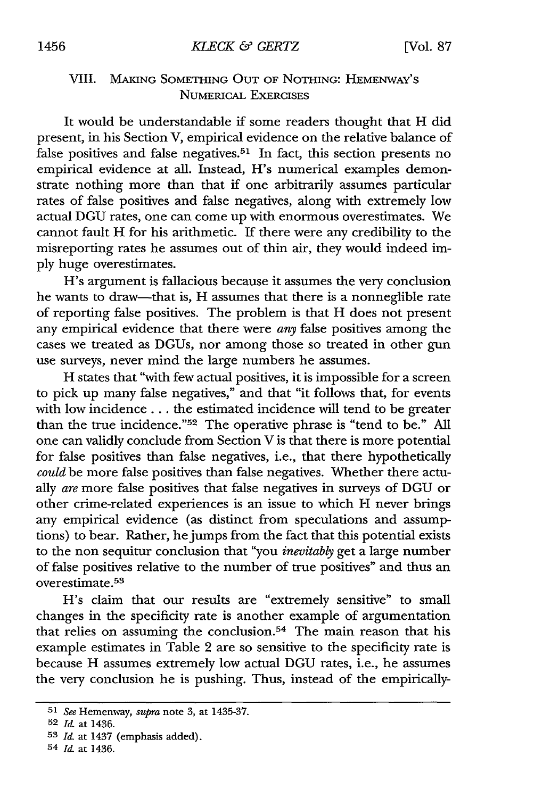#### VIII. MAKING **SOMETHING** OUT OF NOTHING: HEMENWAY'S NUMERICAL EXERCISES

It would be understandable if some readers thought that H did present, in his Section V, empirical evidence on the relative balance of false positives and false negatives.<sup>51</sup> In fact, this section presents no empirical evidence at all. Instead, H's numerical examples demonstrate nothing more than that if one arbitrarily assumes particular rates of false positives and false negatives, along with extremely low actual DGU rates, one can come up with enormous overestimates. We cannot fault H for his arithmetic. If there were any credibility to the misreporting rates he assumes out of thin air, they would indeed imply huge overestimates.

H's argument is fallacious because it assumes the very conclusion he wants to draw-that is, H assumes that there is a nonneglible rate of reporting false positives. The problem is that H does not present any empirical evidence that there were *any* false positives among the cases we treated as DGUs, nor among those so treated in other gun use surveys, never mind the large numbers he assumes.

H states that "with few actual positives, it is impossible for a screen to pick up many false negatives," and that "it follows that, for events with low incidence. **. .** the estimated incidence will tend to be greater than the true incidence."<sup>52</sup> The operative phrase is "tend to be." All one can validly conclude from Section V is that there is more potential for false positives than false negatives, i.e., that there hypothetically *could* be more false positives than false negatives. Whether there actually *are* more false positives that false negatives in surveys of DGU or other crime-related experiences is an issue to which H never brings any empirical evidence (as distinct from speculations and assumptions) to bear. Rather, he jumps from the fact that this potential exists to the non sequitur conclusion that "you *inevitably* get a large number of false positives relative to the number of true positives" and thus an overestimate. <sup>53</sup>

H's claim that our results are "extremely sensitive" to small changes in the specificity rate is another example of argumentation that relies on assuming the conclusion.<sup>54</sup> The main reason that his example estimates in Table 2 are so sensitive to the specificity rate is because H assumes extremely low actual DGU rates, i.e., he assumes the very conclusion he is pushing. Thus, instead of the empirically-

**<sup>51</sup>** *See* Hemenway, *supra* note 3, at 1435-37.

**<sup>52</sup>** *Id.* at 1436.

**<sup>53</sup>** *Id.* at 1437 (emphasis added).

<sup>54</sup> *Id.* at 1436.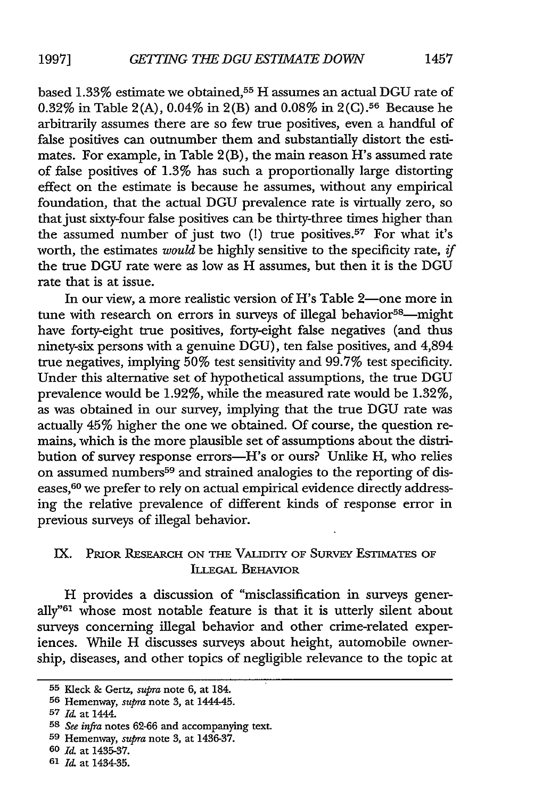based 1.33% estimate we obtained, 55 H assumes an actual DGU rate of 0.32% in Table 2(A), 0.04% in 2(B) and 0.08% in 2(C).56 Because he arbitrarily assumes there are so few true positives, even a handful of false positives can outnumber them and substantially distort the estimates. For example, in Table 2 (B), the main reason H's assumed rate of false positives of 1.3% has such a proportionally large distorting effect on the estimate is because he assumes, without any empirical foundation, that the actual DGU prevalence rate is virtually zero, so that just sixty-four false positives can be thirty-three times higher than the assumed number of just two (!) true positives.<sup>57</sup> For what it's worth, the estimates *would* be highly sensitive to the specificity rate, if the true DGU rate were as low as H assumes, but then it is the DGU rate that is at issue.

In our view, a more realistic version of H's Table 2-one more in tune with research on errors in surveys of illegal behavior<sup>58</sup>-might have forty-eight true positives, forty-eight false negatives (and thus ninety-six persons with a genuine DGU), ten false positives, and 4,894 true negatives, implying 50% test sensitivity and 99.7% test specificity. Under this alternative set of hypothetical assumptions, the true DGU prevalence would be 1.92%, while the measured rate would be 1.32%, as was obtained in our survey, implying that the true DGU rate was actually 45% higher the one we obtained. Of course, the question remains, which is the more plausible set of assumptions about the distribution of survey response errors-H's or ours? Unlike H, who relies on assumed numbers<sup>59</sup> and strained analogies to the reporting of diseases, 60 we prefer to rely on actual empirical evidence directly addressing the relative prevalence of different kinds of response error in previous surveys of illegal behavior.

#### IX. PRIOR RESEARCH ON THE VALIDITY OF SURVEY ESTIMATES OF ILLEGAL BEHAVIOR

H provides a discussion of "misclassification in surveys generally"<sup>61</sup> whose most notable feature is that it is utterly silent about surveys concerning illegal behavior and other crime-related experiences. While H discusses surveys about height, automobile ownership, diseases, and other topics of negligible relevance to the topic at

**<sup>55</sup>**Kleck & Gertz, *supra* note 6, at 184.

**<sup>56</sup>** Hemenway, *supra* note 3, at 1444-45.

**<sup>57</sup> Id** at 1444.

**<sup>58</sup>** *See infra* notes 62-66 and accompanying text.

**<sup>59</sup>** Hemenway, *supra* note 3, at 1436-37.

**<sup>60</sup>** *Id* at 1435-37.

**<sup>61</sup> Ia** at 1434-35.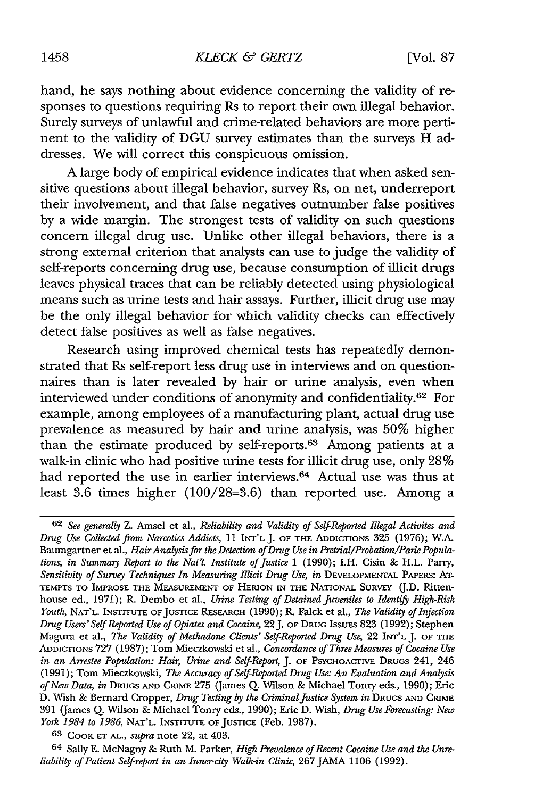hand, he says nothing about evidence concerning the validity of responses to questions requiring Rs to report their own illegal behavior. Surely surveys of unlawful and crime-related behaviors are more pertinent to the validity of DGU survey estimates than the surveys H addresses. We will correct this conspicuous omission.

A large body of empirical evidence indicates that when asked sensitive questions about illegal behavior, survey Rs, on net, underreport their involvement, and that false negatives outnumber false positives by a wide margin. The strongest tests of validity on such questions concern illegal drug use. Unlike other illegal behaviors, there is a strong external criterion that analysts can use to judge the validity of self-reports concerning drug use, because consumption of illicit drugs leaves physical traces that can be reliably detected using physiological means such as urine tests and hair assays. Further, illicit drug use may be the only illegal behavior for which validity checks can effectively detect false positives as well as false negatives.

Research using improved chemical tests has repeatedly demonstrated that Rs self-report less drug use in interviews and on questionnaires than is later revealed by hair or urine analysis, even when interviewed under conditions of anonymity and confidentiality. 62 For example, among employees of a manufacturing plant, actual drug use prevalence as measured by hair and urine analysis, was 50% higher than the estimate produced by self-reports.<sup>63</sup> Among patients at a walk-in clinic who had positive urine tests for illicit drug use, only 28% had reported the use in earlier interviews.<sup>64</sup> Actual use was thus at least 3.6 times higher (100/28=3.6) than reported use. Among a

**63** COOK **ET AL.,** *supra* note 22, at 403.

64 Sally E. McNagny & Ruth M. Parker, *High Prevalence of Recent Cocaine Use and the Unreliability of Patient Self-report in an Inner-city Walk-in Clinic,* 267 JAMA 1106 (1992).

**<sup>62</sup>** *See generally* Z. Amsel et al., *Reliability and Validity of Self-Reported Illegal Activites and Drug Use Collected from Narcotics Addicts,* 11 **INT'L** J. OF **THE** AnDIcrIONS 325 (1976); W.A. Baumgartner et al., *Hair Analysis for the Detection of Drug Use in Pretrial/Probation/Parle Populations, in Summary Report to the Nat'l. Institute of Justice* 1 (1990); I.H. Cisin & H.L. Parry, *Sensitivity of Survey Techniques In Measuring Illicit Drug Use, in* **DEVELOPMENTAL** PAPERS: **AT-**TEMPTS TO IMPROSE THE **MEASUREMENT** OF HERION **IN** THE NATIONAL SURVEY (J.D. Rittenhouse **ed.,** 1971); R. Dembo et al., *Urine Testing of Detained Juveniles to Identify High-Risk Youth,* **NAT'L.** INSTITUTE **OFJUSTICE** RESEARCH (1990); R. Falck et al., *The Validity of Injection Drug Users'Self Reported Use of Opiates and Cocaine,* 22J. OF **DRUG** IssuEs 823 (1992); Stephen Magura et al., *The Validity of Methadone Clients' Self-Reported Drug Use,* 22 **INT'L** J. OF THE ADDICrnONS 727 (1987); Tom Mieczkowski et al., *Concordance of Three Measures of Cocaine Use* in an Arrestee Population: Hair, Urine and Self-Report, J. OF PSYCHOACTIVE DRUGS 241, 246 (1991); Tom Mieczkowski, *The Accuracy of Self-Reported Drug Use: An Evaluation and Analysis of New Data, in* DRUGS **AND CRIME** 275 (James Q. Wilson & Michael Tonry eds., 1990); Eric D. Wish & Bernard Cropper, *Drug Testing by the Criminal Justice System in* DRUGS **AND CRIME** 391 (James Q. Wilson & Michael Tonry eds., 1990); Eric D. Wish, *Drug Use Forecasting. New York 1984 to 1986,* **NAT'L.** INSTITUTE **OFJUSTICE** (Feb. 1987).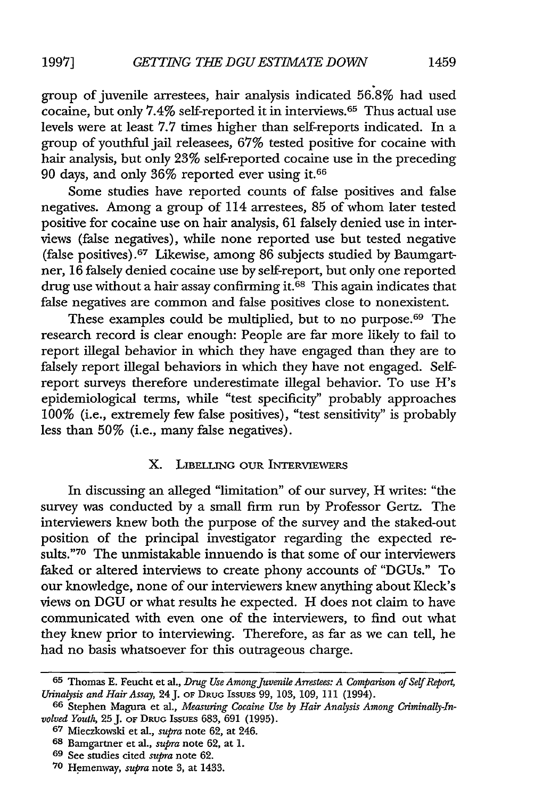group of juvenile arrestees, hair analysis indicated 56.8% had used cocaine, but only 7.4% self-reported it in interviews.65 Thus actual use levels were at least 7.7 times higher than self-reports indicated. In a group of youthful jail releasees, 67% tested positive for cocaine with hair analysis, but only 23% self-reported cocaine use in the preceding 90 days, and only 36% reported ever using it.66

Some studies have reported counts of false positives and false negatives. Among a group of 114 arrestees, 85 of whom later tested positive for cocaine use on hair analysis, 61 falsely denied use in interviews (false negatives), while none reported use but tested negative (false positives).67 Likewise, among 86 subjects studied by Baumgartner, 16 falsely denied cocaine use by self-report, but only one reported drug use without a hair assay confirming it.<sup>68</sup> This again indicates that false negatives are common and false positives close to nonexistent.

These examples could be multiplied, but to no purpose.<sup>69</sup> The research record is clear enough: People are far more likely to fail to report illegal behavior in which they have engaged than they are to falsely report illegal behaviors in which they have not engaged. Selfreport surveys therefore underestimate illegal behavior. To use H's epidemiological terms, while "test specificity" probably approaches 100% (i.e., extremely few false positives), "test sensitivity" is probably less than 50% (i.e., many false negatives).

#### X. LIBELLING OUR INTERVIEWERS

In discussing an alleged "limitation" of our survey, H writes: "the survey was conducted by a small firm run by Professor Gertz. The interviewers knew both the purpose of the survey and the staked-out position of the principal investigator regarding the expected results."70 The unmistakable innuendo is that some of our interviewers faked or altered interviews to create phony accounts of "DGUs." To our knowledge, none of our interviewers knew anything about Kleck's views on DGU or what results he expected. H does not claim to have communicated with even one of the interviewers, to find out what they knew prior to interviewing. Therefore, as far as we can tell, he had no basis whatsoever for this outrageous charge.

**<sup>65</sup>** Thomas E. Feucht et al., *Drug Use AmongJuvenile Arrestees: A Comparison of Self Report, Urinalysis and Hair Assay,* 24J. OF **DRUG** IssuEs 99, 103, 109, 111 (1994).

**<sup>66</sup>** Stephen Magura et al., *Measuring Cocaine Use by Hair Analysis Among Criminally-Involved Youth,* 25 J. **OF DRUG** IsSUES 683, 691 (1995).

**<sup>67</sup>** Mieczkowski et al., *supra* note 62, at 246.

**<sup>68</sup>** Bamgartner et al., *supra* note 62, at 1.

**<sup>69</sup>**See studies cited *supra* note 62.

**<sup>70</sup>** Hemenway, *supra* note 3, at 1433.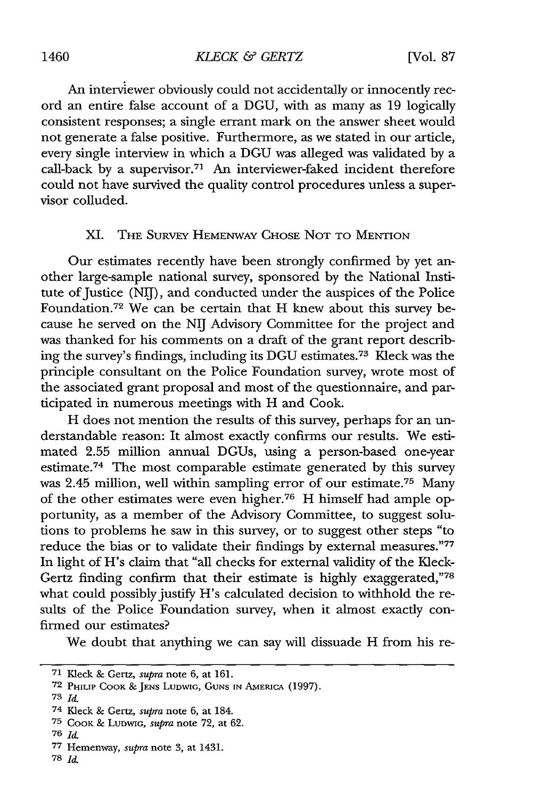An interviewer obviously could not accidentally or innocently record an entire false account of a DGU, with as many as 19 logically consistent responses; a single errant mark on the answer sheet would not generate a false positive. Furthermore, as we stated in our article, every single interview in which a DGU was alleged was validated by a call-back by a supervisor.<sup>71</sup> An interviewer-faked incident therefore could not have survived the quality control procedures unless a supervisor colluded.

#### XI. THE SURVEY HEMENWAY CHOSE **NOT** TO MENTION

Our estimates recently have been strongly confirmed by yet another large-sample national survey, sponsored by the National Institute of Justice (NIJ), and conducted under the auspices of the Police Foundation. 72 We can be certain that H knew about this survey because he served on the **NIJ** Advisory Committee for the project and was thanked for his comments on a draft of the grant report describing the survey's findings, including its DGU estimates.73 Kleck was the principle consultant on the Police Foundation survey, wrote most of the associated grant proposal and most of the questionnaire, and participated in numerous meetings with H and Cook.

H does not mention the results of this survey, perhaps for an understandable reason: It almost exactly confirms our results. We estimated 2.55 million annual DGUs, using a person-based one-year estimate.<sup>74</sup> The most comparable estimate generated by this survey was 2.45 million, well within sampling error of our estimate.75 Many of the other estimates were even higher.76 H himself had ample opportunity, as a member of the Advisory Committee, to suggest solutions to problems he saw in this survey, or to suggest other steps "to reduce the bias or to validate their findings by external measures."77 In light of H's claim that "all checks for external validity of the Kleck-Gertz finding confirm that their estimate is highly exaggerated,"78 what could possibly justify H's calculated decision to withhold the results of the Police Foundation survey, when it almost exactly confirmed our estimates?

We doubt that anything we can say will dissuade H from his re-

**78** *I&*

**<sup>71</sup>** Kleck **&** Gertz, *supra* note **6,** at **161.**

**<sup>72</sup>** PHILIP COOK &JENS **LUDWIG, GUNS IN** AMERICA **(1997).**

**<sup>73</sup>** *Id*

**<sup>74</sup>** Kleck **&** Gertz, *supra* note **6,** at 184.

**<sup>75</sup>** COOK **& LUDWIG,** *supra* note **72,** at **62.**

**<sup>76</sup>** *Id,*

**<sup>77</sup>** Hemenway, *supra* note **3,** at 1431.